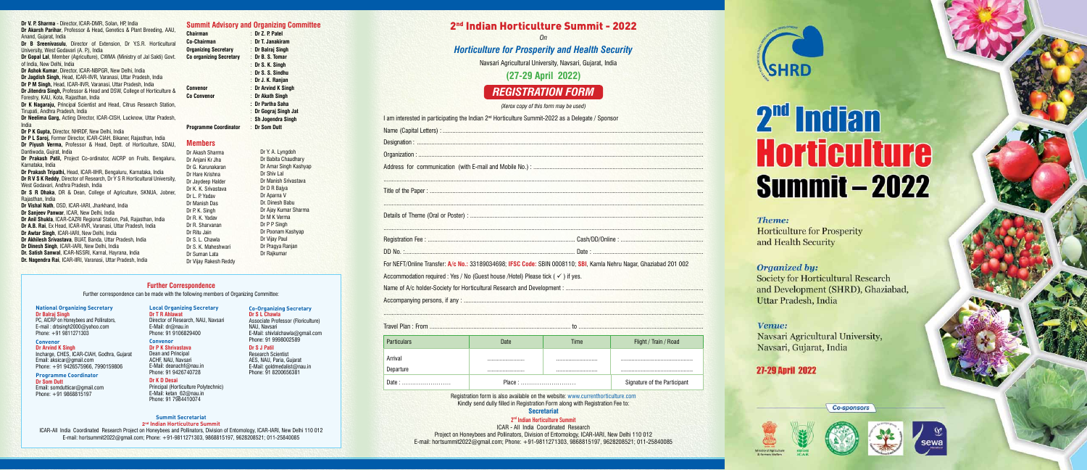|                                                                                                                    | 2 <sup>nd</sup> Indian Horticulture Summit - 2022<br><b>On</b>                              |                                                          |                       |  |  |  |  |  |
|--------------------------------------------------------------------------------------------------------------------|---------------------------------------------------------------------------------------------|----------------------------------------------------------|-----------------------|--|--|--|--|--|
|                                                                                                                    | <b>Horticulture for Prosperity and Health Security</b>                                      |                                                          |                       |  |  |  |  |  |
|                                                                                                                    |                                                                                             | Navsari Agricultural University, Navsari, Gujarat, India |                       |  |  |  |  |  |
| (27-29 April 2022)                                                                                                 |                                                                                             |                                                          |                       |  |  |  |  |  |
|                                                                                                                    |                                                                                             | <b>REGISTRATION FORM</b>                                 |                       |  |  |  |  |  |
|                                                                                                                    | (Xerox copy of this form may be used)                                                       |                                                          |                       |  |  |  |  |  |
| I am interested in participating the Indian 2 <sup>nd</sup> Horticulture Summit-2022 as a Delegate / Sponsor       |                                                                                             |                                                          |                       |  |  |  |  |  |
|                                                                                                                    |                                                                                             |                                                          |                       |  |  |  |  |  |
|                                                                                                                    |                                                                                             |                                                          |                       |  |  |  |  |  |
|                                                                                                                    |                                                                                             |                                                          |                       |  |  |  |  |  |
|                                                                                                                    |                                                                                             |                                                          |                       |  |  |  |  |  |
|                                                                                                                    |                                                                                             |                                                          |                       |  |  |  |  |  |
|                                                                                                                    |                                                                                             |                                                          |                       |  |  |  |  |  |
|                                                                                                                    |                                                                                             |                                                          |                       |  |  |  |  |  |
|                                                                                                                    |                                                                                             |                                                          |                       |  |  |  |  |  |
|                                                                                                                    |                                                                                             |                                                          |                       |  |  |  |  |  |
|                                                                                                                    |                                                                                             |                                                          |                       |  |  |  |  |  |
|                                                                                                                    |                                                                                             |                                                          |                       |  |  |  |  |  |
| For NEFT/Online Transfer: A/c No.: 33189034698; IFSC Code: SBIN 0008110; SBI, Kamla Nehru Nagar, Ghaziabad 201 002 |                                                                                             |                                                          |                       |  |  |  |  |  |
|                                                                                                                    | Accommodation required : Yes / No (Guest house /Hotel) Please tick ( $\checkmark$ ) if yes. |                                                          |                       |  |  |  |  |  |
|                                                                                                                    |                                                                                             |                                                          |                       |  |  |  |  |  |
|                                                                                                                    |                                                                                             |                                                          |                       |  |  |  |  |  |
|                                                                                                                    |                                                                                             |                                                          |                       |  |  |  |  |  |
|                                                                                                                    |                                                                                             |                                                          |                       |  |  |  |  |  |
|                                                                                                                    |                                                                                             |                                                          |                       |  |  |  |  |  |
| <b>Particulars</b>                                                                                                 | Date                                                                                        | Time                                                     | Flight / Train / Road |  |  |  |  |  |
|                                                                                                                    |                                                                                             |                                                          |                       |  |  |  |  |  |
| Arrival<br>Departure                                                                                               |                                                                                             |                                                          |                       |  |  |  |  |  |

**Dr B Sreenivasulu**, Director of Extension, Dr Y.S.R. Horticultural University, West Godavari (A. P.), India

#### Dr P P Singh Dr Poonam Kashyap Dr Vijay Paul



Registration form is also available on the website: www.currenthorticulture.com Kindly send dully filled in Registration Form along with Registration Fee to: **Secretariat**

ICAR - All India Coordinated Research Project on Honeybees and Pollinators, Division of Entomology, ICAR-IARI, New Delhi 110 012 E-mail: hortsummit2022@gmail.com; Phone: +91-9811271303, 9868815197, 9628208521; 011-25840085

#### **Dr V. P. Sharma** - Director, ICAR-DMR, Solan, HP, India

**Dr Akarsh Parihar**, Professor & Head, Genetics & Plant Breeding, AAU, Anand, Gujarat, India

**Dr Gopal Lal**, Member (Agriculture), CWMA (Ministry of Jal Sakti) Govt. of India, New Delhi, India

**Dr Ashok Kumar**, Director, ICAR-NBPGR, New Delhi, India

**Dr Jagdish Singh,** Head, ICAR-IIVR, Varanasi, Uttar Pradesh, India **Dr P M Singh,** Head, ICAR-IIVR, Varanasi, Uttar Pradesh, India

**Dr Jitendra Singh,** Professor & Head and DSW, College of Horticulture & Forestry, KAU, Kota, Rajasthan, India

**Dr K Nagaraju,** Principal Scientist and Head, Citrus Research Station, Tirupati, Andhra Pradesh, India

**Dr Neelima Garg,** Acting Director, ICAR-CISH, Lucknow, Uttar Pradesh, India

**Dr P K Gupta,** Director, NHRDF, New Delhi, India

**Dr P L Saroj,** Former Director, ICAR-CIAH, Bikaner, Rajasthan, India **Dr Piyush Verma,** Professor & Head, Deptt. of Horticulture, SDAU, Dantiwada, Gujrat, India

**Dr Prakash Patil,** Project Co-ordinator, AICRP on Fruits, Bengaluru, Karnataka, India

**Dr Prakash Tripathi,** Head, ICAR-IIHR, Bengaluru, Karnataka, India **Dr R V S K Reddy**, Director of Research, Dr Y S R Horticultural University, West Godavari, Andhra Pradesh, India

**Dr S R Dhaka**, DR & Dean, College of Agriculture, SKNUA, Jobner, Rajasthan, India

**Dr Vishal Nath**, OSD, ICAR-IARI, Jharkhand, India

**Dr Sanjeev Panwar**, ICAR, New Delhi, India

- **Dr Anil Shukla**, ICAR-CAZRI Regional Station, Pali, Rajasthan, India
- **Dr A.B. Rai**, Ex Head, ICAR-IIVR, Varanasi, Uttar Pradesh, India
- **Dr Awtar Singh**, ICAR-IARI, New Delhi, India
- **Dr Akhilesh Srivastava**, BUAT, Banda, Uttar Pradesh, India
- **Dr Dinesh Singh**, ICAR-IARI, New Delhi, India
- **Dr. Satish Sanwal**, ICAR-NSSRI, Karnal, Hayrana, India
- **Dr. Nagendra Rai**, ICAR-IIRI, Varanasi, Uttar Pradesh, India

**Summit Advisory and Organizing Committee**

**Chairman** : **Dr Z. P. Patel Co-Chairman** : **Dr T. Janakiram Organizing Secretary** : **Dr Balraj Singh Co organizing Secretary** : **Dr B. S. Tomar**

> : **Dr S. K. Singh** : **Dr S. S. Sindhu** : **Dr J. K. Ranjan**

**Convenor** : **Dr Arvind K Singh Co Convenor** : **Dr Akath Singh**

> **: Dr Partha Saha** : **Dr Gograj Singh Jat** : **Sh Jogendra Singh**

**Programme Coordinator** : **Dr Som Dutt**

**Members** Dr Akash Sharma Dr Anjani Kr Jha Dr G. Karunakaran Dr Hare Krishna Dr Jaydeep Halder Dr K. K. Srivastava Dr L. P. Yadav Dr Manish Das Dr P. K. Singh Dr R. K. Yadav Dr R. Sharvanan Dr Ritu Jain Dr S. L. Chawla Dr S. K. Maheshwari Dr Suman Lata Dr Vijay Rakesh Reddy

Dr Y. A. Lyngdoh Dr Babita Chaudhary Dr Amar Singh Kashyap

Dr Manish Srivastava Dr D R Baiva Dr Aparna V Dr. Dinesh Babu Dr Ajay Kumar Sharma

Dr Shiv Lal

Dr M K Verma

Dr Pragya Ranjan Dr Rajkumar

#### **National Organizing Secretary Dr Balraj Singh**

PC, AICRP on Honeybees and Pollinators, E-mail : drbsingh2000@yahoo.com Phone: +91 9811271303

#### **Convenor**

**Dr Arvind K Singh** Incharge, CHES, ICAR-CIAH, Godhra, Gujarat Email: aksicar@gmail.com Phone: +91 9426575966, 7990159806

**Programme Coordinator Dr Som Dutt**

Email: somdutticar@gmail.com Phone: +91 9868815197

**Summit Secretariat**

2<sup>nd</sup> Indian Horticulture Summit



# 2<sup>nd</sup> Indian **Horticulture Summit - 2022**

Theme: **Horticulture for Prosperity** and Health Security

## **Organized by:**

**Society for Horticultural Research** and Development (SHRD), Ghaziabad, Uttar Pradesh, India

## Venue:

Navsari Agricultural University, Navsari, Gujarat, India

# **27-29 April 2022**





**Co-sponsors** 





**2nd Indian Horticulture Summit** ICAR-All India Coordinated Research Project on Honeybees and Pollinators, Division of Entomology, ICAR-IARI, New Delhi 110 012 E-mail: hortsummit2022@gmail.com; Phone: +91-9811271303, 9868815197, 9628208521; 011-25840085

# **Further Correspondence**

Further correspondence can be made with the following members of Organizing Committee:

#### **Local Organizing Secretary Dr T R Ahlawat**

Director of Research, NAU, Navsari E-Mail: dr@nau.in

Phone: 91 9106829400

**Convenor Dr P K Shrivastava** Dean and Principal ACHF, NAU, Navsari E-Mail: deanachf@nau.in Phone: 91 9426740728

#### **Dr K D Desai**

Principal (Horticulture Polytechnic) E-Mail: ketan\_62@nau.in Phone: 91 7984410074

**Co-Organizing Secretary Dr S L Chawla**

# Associate Professor (Floriculture)

NAU, Navsari E-Mail: shivlalchawla@gmail.com

Phone: 91 9998002589

**Dr S J Patil**

Research Scientist AES, NAU, Paria, Gujarat E-Mail: goldmedalist@nau.in Phone: 91 8200656381